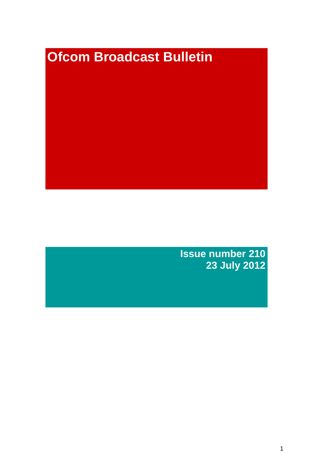# **Ofcom Broadcast Bulletin**

**Issue number 210 23 July 2012**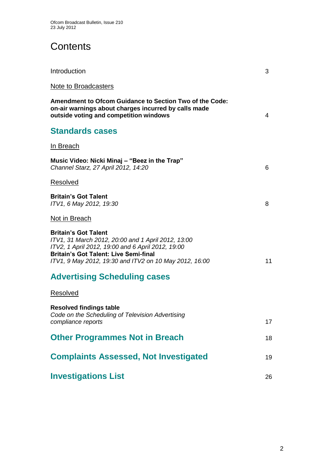# **Contents**

| Introduction                                                                                                                                                                                                                                     | 3  |
|--------------------------------------------------------------------------------------------------------------------------------------------------------------------------------------------------------------------------------------------------|----|
| Note to Broadcasters                                                                                                                                                                                                                             |    |
| Amendment to Ofcom Guidance to Section Two of the Code:<br>on-air warnings about charges incurred by calls made<br>outside voting and competition windows                                                                                        | 4  |
| <b>Standards cases</b>                                                                                                                                                                                                                           |    |
| <u>In Breach</u>                                                                                                                                                                                                                                 |    |
| Music Video: Nicki Minaj - "Beez in the Trap"<br>Channel Starz, 27 April 2012, 14:20                                                                                                                                                             | 6  |
| <b>Resolved</b>                                                                                                                                                                                                                                  |    |
| <b>Britain's Got Talent</b><br>ITV1, 6 May 2012, 19:30                                                                                                                                                                                           | 8  |
| Not in Breach                                                                                                                                                                                                                                    |    |
| <b>Britain's Got Talent</b><br>ITV1, 31 March 2012, 20:00 and 1 April 2012, 13:00<br>ITV2, 1 April 2012, 19:00 and 6 April 2012, 19:00<br><b>Britain's Got Talent: Live Semi-final</b><br>ITV1, 9 May 2012, 19:30 and ITV2 on 10 May 2012, 16:00 | 11 |
| <b>Advertising Scheduling cases</b>                                                                                                                                                                                                              |    |
| Resolved                                                                                                                                                                                                                                         |    |
| <b>Resolved findings table</b><br>Code on the Scheduling of Television Advertising<br>compliance reports                                                                                                                                         | 17 |
| <b>Other Programmes Not in Breach</b>                                                                                                                                                                                                            | 18 |
| <b>Complaints Assessed, Not Investigated</b>                                                                                                                                                                                                     | 19 |
| <b>Investigations List</b>                                                                                                                                                                                                                       | 26 |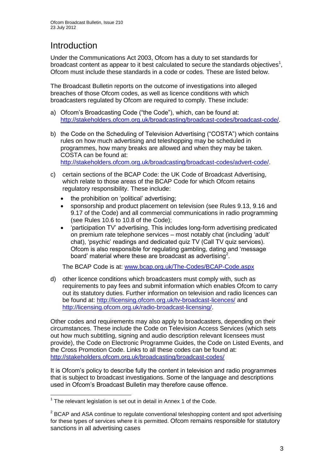# Introduction

Under the Communications Act 2003, Ofcom has a duty to set standards for broadcast content as appear to it best calculated to secure the standards objectives<sup>1</sup>, Ofcom must include these standards in a code or codes. These are listed below.

The Broadcast Bulletin reports on the outcome of investigations into alleged breaches of those Ofcom codes, as well as licence conditions with which broadcasters regulated by Ofcom are required to comply. These include:

- a) Ofcom's Broadcasting Code ("the Code"), which, can be found at: [http://stakeholders.ofcom.org.uk/broadcasting/broadcast-codes/broadcast-code/.](http://stakeholders.ofcom.org.uk/broadcasting/broadcast-codes/broadcast-code/)
- b) the Code on the Scheduling of Television Advertising ("COSTA") which contains rules on how much advertising and teleshopping may be scheduled in programmes, how many breaks are allowed and when they may be taken. COSTA can be found at: [http://stakeholders.ofcom.org.uk/broadcasting/broadcast-codes/advert-code/.](http://stakeholders.ofcom.org.uk/broadcasting/broadcast-codes/advert-code/)

c) certain sections of the BCAP Code: the UK Code of Broadcast Advertising, which relate to those areas of the BCAP Code for which Ofcom retains regulatory responsibility. These include:

- the prohibition on 'political' advertising;
- sponsorship and product placement on television (see Rules 9.13, 9.16 and 9.17 of the Code) and all commercial communications in radio programming (see Rules 10.6 to 10.8 of the Code);
- 'participation TV' advertising. This includes long-form advertising predicated on premium rate telephone services – most notably chat (including 'adult' chat), 'psychic' readings and dedicated quiz TV (Call TV quiz services). Ofcom is also responsible for regulating gambling, dating and 'message board' material where these are broadcast as advertising<sup>2</sup>.

The BCAP Code is at: [www.bcap.org.uk/The-Codes/BCAP-Code.aspx](http://www.bcap.org.uk/The-Codes/BCAP-Code.aspx)

d) other licence conditions which broadcasters must comply with, such as requirements to pay fees and submit information which enables Ofcom to carry out its statutory duties. Further information on television and radio licences can be found at:<http://licensing.ofcom.org.uk/tv-broadcast-licences/> and [http://licensing.ofcom.org.uk/radio-broadcast-licensing/.](http://licensing.ofcom.org.uk/radio-broadcast-licensing/)

Other codes and requirements may also apply to broadcasters, depending on their circumstances. These include the Code on Television Access Services (which sets out how much subtitling, signing and audio description relevant licensees must provide), the Code on Electronic Programme Guides, the Code on Listed Events, and the Cross Promotion Code. Links to all these codes can be found at: <http://stakeholders.ofcom.org.uk/broadcasting/broadcast-codes/>

It is Ofcom's policy to describe fully the content in television and radio programmes that is subject to broadcast investigations. Some of the language and descriptions used in Ofcom's Broadcast Bulletin may therefore cause offence.

1

 $1$  The relevant legislation is set out in detail in Annex 1 of the Code.

 $2$  BCAP and ASA continue to regulate conventional teleshopping content and spot advertising for these types of services where it is permitted. Ofcom remains responsible for statutory sanctions in all advertising cases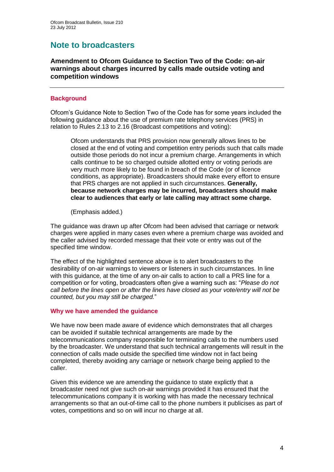# **Note to broadcasters**

**Amendment to Ofcom Guidance to Section Two of the Code: on-air warnings about charges incurred by calls made outside voting and competition windows**

#### **Background**

Ofcom's Guidance Note to Section Two of the Code has for some years included the following guidance about the use of premium rate telephony services (PRS) in relation to Rules 2.13 to 2.16 (Broadcast competitions and voting):

Ofcom understands that PRS provision now generally allows lines to be closed at the end of voting and competition entry periods such that calls made outside those periods do not incur a premium charge. Arrangements in which calls continue to be so charged outside allotted entry or voting periods are very much more likely to be found in breach of the Code (or of licence conditions, as appropriate). Broadcasters should make every effort to ensure that PRS charges are not applied in such circumstances. **Generally, because network charges may be incurred, broadcasters should make clear to audiences that early or late calling may attract some charge.**

(Emphasis added.)

The guidance was drawn up after Ofcom had been advised that carriage or network charges were applied in many cases even where a premium charge was avoided and the caller advised by recorded message that their vote or entry was out of the specified time window.

The effect of the highlighted sentence above is to alert broadcasters to the desirability of on-air warnings to viewers or listeners in such circumstances. In line with this guidance, at the time of any on-air calls to action to call a PRS line for a competition or for voting, broadcasters often give a warning such as: "*Please do not call before the lines open or after the lines have closed as your vote/entry will not be counted, but you may still be charged.*"

#### **Why we have amended the guidance**

We have now been made aware of evidence which demonstrates that all charges can be avoided if suitable technical arrangements are made by the telecommunications company responsible for terminating calls to the numbers used by the broadcaster. We understand that such technical arrangements will result in the connection of calls made outside the specified time window not in fact being completed, thereby avoiding any carriage or network charge being applied to the caller.

Given this evidence we are amending the guidance to state explictly that a broadcaster need not give such on-air warnings provided it has ensured that the telecommunications company it is working with has made the necessary technical arrangements so that an out-of-time call to the phone numbers it publicises as part of votes, competitions and so on will incur no charge at all.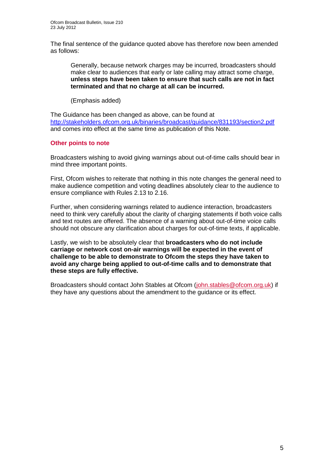The final sentence of the guidance quoted above has therefore now been amended as follows:

Generally, because network charges may be incurred, broadcasters should make clear to audiences that early or late calling may attract some charge, **unless steps have been taken to ensure that such calls are not in fact terminated and that no charge at all can be incurred.**

(Emphasis added)

The Guidance has been changed as above, can be found at <http://stakeholders.ofcom.org.uk/binaries/broadcast/guidance/831193/section2.pdf> and comes into effect at the same time as publication of this Note.

#### **Other points to note**

Broadcasters wishing to avoid giving warnings about out-of-time calls should bear in mind three important points.

First, Ofcom wishes to reiterate that nothing in this note changes the general need to make audience competition and voting deadlines absolutely clear to the audience to ensure compliance with Rules 2.13 to 2.16.

Further, when considering warnings related to audience interaction, broadcasters need to think very carefully about the clarity of charging statements if both voice calls and text routes are offered. The absence of a warning about out-of-time voice calls should not obscure any clarification about charges for out-of-time texts, if applicable.

Lastly, we wish to be absolutely clear that **broadcasters who do not include carriage or network cost on-air warnings will be expected in the event of challenge to be able to demonstrate to Ofcom the steps they have taken to avoid any charge being applied to out-of-time calls and to demonstrate that these steps are fully effective.**

Broadcasters should contact John Stables at Ofcom [\(john.stables@ofcom.org.uk\)](mailto:john.stables@ofcom.org.uk) if they have any questions about the amendment to the guidance or its effect.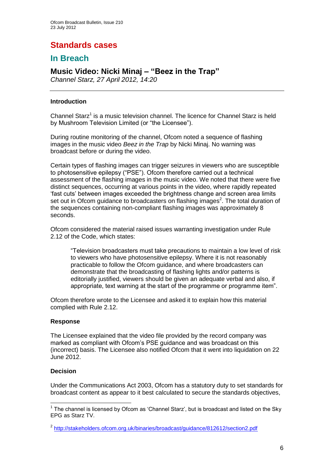# **Standards cases**

## **In Breach**

## **Music Video: Nicki Minaj – "Beez in the Trap"**

*Channel Starz, 27 April 2012, 14:20*

#### **Introduction**

Channel Starz<sup>1</sup> is a music television channel. The licence for Channel Starz is held by Mushroom Television Limited (or "the Licensee").

During routine monitoring of the channel, Ofcom noted a sequence of flashing images in the music video *Beez in the Trap* by Nicki Minaj. No warning was broadcast before or during the video.

Certain types of flashing images can trigger seizures in viewers who are susceptible to photosensitive epilepsy ("PSE"). Ofcom therefore carried out a technical assessment of the flashing images in the music video. We noted that there were five distinct sequences, occurring at various points in the video, where rapidly repeated 'fast cuts' between images exceeded the brightness change and screen area limits set out in Ofcom guidance to broadcasters on flashing images<sup>2</sup>. The total duration of the sequences containing non-compliant flashing images was approximately 8 seconds.

Ofcom considered the material raised issues warranting investigation under Rule 2.12 of the Code, which states:

"Television broadcasters must take precautions to maintain a low level of risk to viewers who have photosensitive epilepsy. Where it is not reasonably practicable to follow the Ofcom guidance, and where broadcasters can demonstrate that the broadcasting of flashing lights and/or patterns is editorially justified, viewers should be given an adequate verbal and also, if appropriate, text warning at the start of the programme or programme item".

Ofcom therefore wrote to the Licensee and asked it to explain how this material complied with Rule 2.12.

#### **Response**

The Licensee explained that the video file provided by the record company was marked as compliant with Ofcom's PSE guidance and was broadcast on this (incorrect) basis. The Licensee also notified Ofcom that it went into liquidation on 22 June 2012.

#### **Decision**

Under the Communications Act 2003, Ofcom has a statutory duty to set standards for broadcast content as appear to it best calculated to secure the standards objectives,

<sup>1</sup>  $1$  The channel is licensed by Ofcom as 'Channel Starz', but is broadcast and listed on the Sky EPG as Starz TV.

<sup>&</sup>lt;sup>2</sup> <http://stakeholders.ofcom.org.uk/binaries/broadcast/guidance/812612/section2.pdf>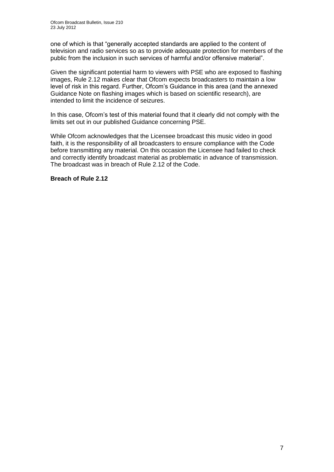one of which is that "generally accepted standards are applied to the content of television and radio services so as to provide adequate protection for members of the public from the inclusion in such services of harmful and/or offensive material".

Given the significant potential harm to viewers with PSE who are exposed to flashing images, Rule 2.12 makes clear that Ofcom expects broadcasters to maintain a low level of risk in this regard. Further, Ofcom's Guidance in this area (and the annexed Guidance Note on flashing images which is based on scientific research), are intended to limit the incidence of seizures.

In this case, Ofcom's test of this material found that it clearly did not comply with the limits set out in our published Guidance concerning PSE.

While Ofcom acknowledges that the Licensee broadcast this music video in good faith, it is the responsibility of all broadcasters to ensure compliance with the Code before transmitting any material. On this occasion the Licensee had failed to check and correctly identify broadcast material as problematic in advance of transmission. The broadcast was in breach of Rule 2.12 of the Code.

#### **Breach of Rule 2.12**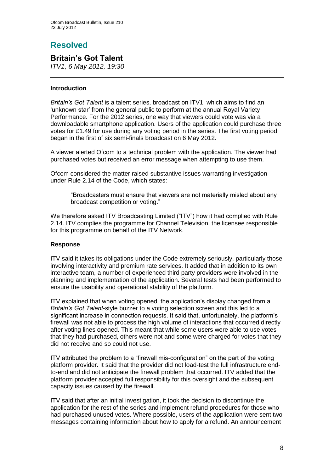# **Resolved**

### **Britain's Got Talent**

*ITV1, 6 May 2012, 19:30*

#### **Introduction**

*Britain's Got Talent* is a talent series, broadcast on ITV1, which aims to find an 'unknown star' from the general public to perform at the annual Royal Variety Performance. For the 2012 series, one way that viewers could vote was via a downloadable smartphone application. Users of the application could purchase three votes for £1.49 for use during any voting period in the series. The first voting period began in the first of six semi-finals broadcast on 6 May 2012.

A viewer alerted Ofcom to a technical problem with the application. The viewer had purchased votes but received an error message when attempting to use them.

Ofcom considered the matter raised substantive issues warranting investigation under Rule 2.14 of the Code, which states:

"Broadcasters must ensure that viewers are not materially misled about any broadcast competition or voting."

We therefore asked ITV Broadcasting Limited ("ITV") how it had complied with Rule 2.14. ITV complies the programme for Channel Television, the licensee responsible for this programme on behalf of the ITV Network.

#### **Response**

ITV said it takes its obligations under the Code extremely seriously, particularly those involving interactivity and premium rate services. It added that in addition to its own interactive team, a number of experienced third party providers were involved in the planning and implementation of the application. Several tests had been performed to ensure the usability and operational stability of the platform.

ITV explained that when voting opened, the application's display changed from a *Britain's Got Talent*-style buzzer to a voting selection screen and this led to a significant increase in connection requests. It said that, unfortunately, the platform's firewall was not able to process the high volume of interactions that occurred directly after voting lines opened. This meant that while some users were able to use votes that they had purchased, others were not and some were charged for votes that they did not receive and so could not use.

ITV attributed the problem to a "firewall mis-configuration" on the part of the voting platform provider. It said that the provider did not load-test the full infrastructure endto-end and did not anticipate the firewall problem that occurred. ITV added that the platform provider accepted full responsibility for this oversight and the subsequent capacity issues caused by the firewall.

ITV said that after an initial investigation, it took the decision to discontinue the application for the rest of the series and implement refund procedures for those who had purchased unused votes. Where possible, users of the application were sent two messages containing information about how to apply for a refund. An announcement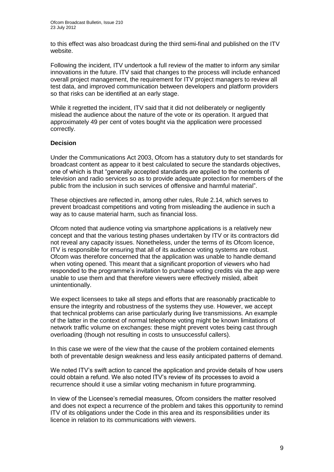to this effect was also broadcast during the third semi-final and published on the ITV website.

Following the incident, ITV undertook a full review of the matter to inform any similar innovations in the future. ITV said that changes to the process will include enhanced overall project management, the requirement for ITV project managers to review all test data, and improved communication between developers and platform providers so that risks can be identified at an early stage.

While it regretted the incident, ITV said that it did not deliberately or negligently mislead the audience about the nature of the vote or its operation. It argued that approximately 49 per cent of votes bought via the application were processed correctly.

#### **Decision**

Under the Communications Act 2003, Ofcom has a statutory duty to set standards for broadcast content as appear to it best calculated to secure the standards objectives, one of which is that "generally accepted standards are applied to the contents of television and radio services so as to provide adequate protection for members of the public from the inclusion in such services of offensive and harmful material".

These objectives are reflected in, among other rules, Rule 2.14, which serves to prevent broadcast competitions and voting from misleading the audience in such a way as to cause material harm, such as financial loss.

Ofcom noted that audience voting via smartphone applications is a relatively new concept and that the various testing phases undertaken by ITV or its contractors did not reveal any capacity issues. Nonetheless, under the terms of its Ofcom licence, ITV is responsible for ensuring that all of its audience voting systems are robust. Ofcom was therefore concerned that the application was unable to handle demand when voting opened. This meant that a significant proportion of viewers who had responded to the programme's invitation to purchase voting credits via the app were unable to use them and that therefore viewers were effectively misled, albeit unintentionally.

We expect licensees to take all steps and efforts that are reasonably practicable to ensure the integrity and robustness of the systems they use. However, we accept that technical problems can arise particularly during live transmissions. An example of the latter in the context of normal telephone voting might be known limitations of network traffic volume on exchanges: these might prevent votes being cast through overloading (though not resulting in costs to unsuccessful callers).

In this case we were of the view that the cause of the problem contained elements both of preventable design weakness and less easily anticipated patterns of demand.

We noted ITV's swift action to cancel the application and provide details of how users could obtain a refund. We also noted ITV's review of its processes to avoid a recurrence should it use a similar voting mechanism in future programming.

In view of the Licensee's remedial measures, Ofcom considers the matter resolved and does not expect a recurrence of the problem and takes this opportunity to remind ITV of its obligations under the Code in this area and its responsibilities under its licence in relation to its communications with viewers.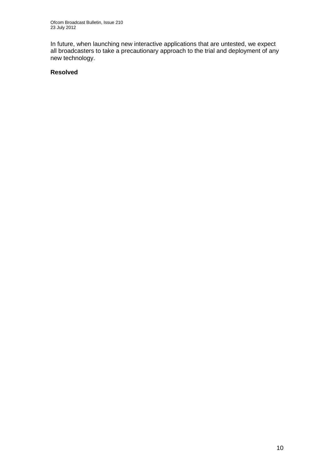In future, when launching new interactive applications that are untested, we expect all broadcasters to take a precautionary approach to the trial and deployment of any new technology.

#### **Resolved**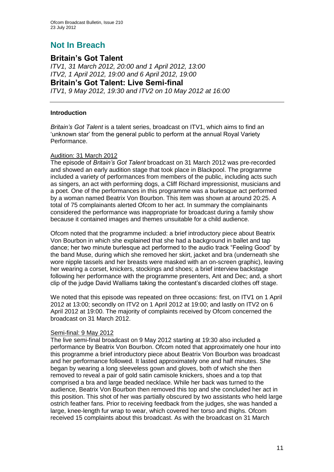# **Not In Breach**

#### **Britain's Got Talent**

*ITV1, 31 March 2012, 20:00 and 1 April 2012, 13:00 ITV2, 1 April 2012, 19:00 and 6 April 2012, 19:00* **Britain's Got Talent: Live Semi-final** *ITV1, 9 May 2012, 19:30 and ITV2 on 10 May 2012 at 16:00*

#### **Introduction**

*Britain's Got Talent* is a talent series, broadcast on ITV1, which aims to find an 'unknown star' from the general public to perform at the annual Royal Variety Performance.

#### Audition: 31 March 2012

The episode of *Britain's Got Talent* broadcast on 31 March 2012 was pre-recorded and showed an early audition stage that took place in Blackpool. The programme included a variety of performances from members of the public, including acts such as singers, an act with performing dogs, a Cliff Richard impressionist, musicians and a poet. One of the performances in this programme was a burlesque act performed by a woman named Beatrix Von Bourbon. This item was shown at around 20:25. A total of 75 complainants alerted Ofcom to her act. In summary the complainants considered the performance was inappropriate for broadcast during a family show because it contained images and themes unsuitable for a child audience.

Ofcom noted that the programme included: a brief introductory piece about Beatrix Von Bourbon in which she explained that she had a background in ballet and tap dance; her two minute burlesque act performed to the audio track "Feeling Good" by the band Muse, during which she removed her skirt, jacket and bra (underneath she wore nipple tassels and her breasts were masked with an on-screen graphic), leaving her wearing a corset, knickers, stockings and shoes; a brief interview backstage following her performance with the programme presenters, Ant and Dec; and, a short clip of the judge David Walliams taking the contestant's discarded clothes off stage.

We noted that this episode was repeated on three occasions: first, on ITV1 on 1 April 2012 at 13:00; secondly on ITV2 on 1 April 2012 at 19:00; and lastly on ITV2 on 6 April 2012 at 19:00. The majority of complaints received by Ofcom concerned the broadcast on 31 March 2012.

#### Semi-final: 9 May 2012

The live semi-final broadcast on 9 May 2012 starting at 19:30 also included a performance by Beatrix Von Bourbon. Ofcom noted that approximately one hour into this programme a brief introductory piece about Beatrix Von Bourbon was broadcast and her performance followed. It lasted approximately one and half minutes. She began by wearing a long sleeveless gown and gloves, both of which she then removed to reveal a pair of gold satin camisole knickers, shoes and a top that comprised a bra and large beaded necklace. While her back was turned to the audience, Beatrix Von Bourbon then removed this top and she concluded her act in this position. This shot of her was partially obscured by two assistants who held large ostrich feather fans. Prior to receiving feedback from the judges, she was handed a large, knee-length fur wrap to wear, which covered her torso and thighs. Ofcom received 15 complaints about this broadcast. As with the broadcast on 31 March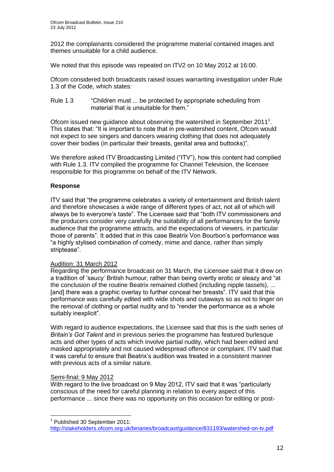2012 the complainants considered the programme material contained images and themes unsuitable for a child audience.

We noted that this episode was repeated on ITV2 on 10 May 2012 at 16:00.

Ofcom considered both broadcasts raised issues warranting investigation under Rule 1.3 of the Code, which states:

Rule 1.3 "Children must ... be protected by appropriate scheduling from material that is unsuitable for them."

Ofcom issued new guidance about observing the watershed in September 2011<sup>1</sup>. This states that: "It is important to note that in pre-watershed content, Ofcom would not expect to see singers and dancers wearing clothing that does not adequately cover their bodies (in particular their breasts, genital area and buttocks)".

We therefore asked ITV Broadcasting Limited ("ITV"), how this content had complied with Rule 1.3. ITV complied the programme for Channel Television, the licensee responsible for this programme on behalf of the ITV Network.

#### **Response**

ITV said that "the programme celebrates a variety of entertainment and British talent and therefore showcases a wide range of different types of act, not all of which will always be to everyone's taste". The Licensee said that "both ITV commissioners and the producers consider very carefully the suitability of all performances for the family audience that the programme attracts, and the expectations of viewers, in particular those of parents". It added that in this case Beatrix Von Bourbon's performance was "a highly stylised combination of comedy, mime and dance, rather than simply striptease".

#### Audition: 31 March 2012

Regarding the performance broadcast on 31 March, the Licensee said that it drew on a tradition of 'saucy' British humour, rather than being overtly erotic or sleazy and "at the conclusion of the routine Beatrix remained clothed (including nipple tassels), ... [and] there was a graphic overlay to further conceal her breasts". ITV said that this performance was carefully edited with wide shots and cutaways so as not to linger on the removal of clothing or partial nudity and to "render the performance as a whole suitably inexplicit".

With regard to audience expectations, the Licensee said that this is the sixth series of *Britain's Got Talent* and in previous series the programme has featured burlesque acts and other types of acts which involve partial nudity, which had been edited and masked appropriately and not caused widespread offence or complaint. ITV said that it was careful to ensure that Beatrix's audition was treated in a consistent manner with previous acts of a similar nature.

#### Semi-final: 9 May 2012

1

With regard to the live broadcast on 9 May 2012, ITV said that it was "particularly conscious of the need for careful planning in relation to every aspect of this performance ... since there was no opportunity on this occasion for editing or post-

<sup>1</sup> Published 30 September 2011: <http://stakeholders.ofcom.org.uk/binaries/broadcast/guidance/831193/watershed-on-tv.pdf>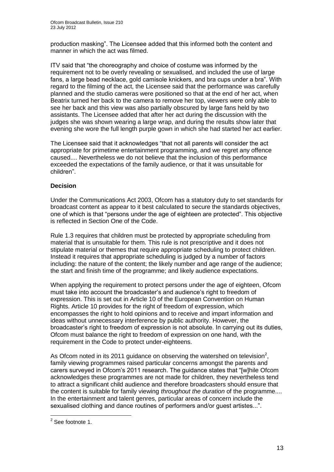production masking". The Licensee added that this informed both the content and manner in which the act was filmed.

ITV said that "the choreography and choice of costume was informed by the requirement not to be overly revealing or sexualised, and included the use of large fans, a large bead necklace, gold camisole knickers, and bra cups under a bra". With regard to the filming of the act, the Licensee said that the performance was carefully planned and the studio cameras were positioned so that at the end of her act, when Beatrix turned her back to the camera to remove her top, viewers were only able to see her back and this view was also partially obscured by large fans held by two assistants. The Licensee added that after her act during the discussion with the judges she was shown wearing a large wrap, and during the results show later that evening she wore the full length purple gown in which she had started her act earlier.

The Licensee said that it acknowledges "that not all parents will consider the act appropriate for primetime entertainment programming, and we regret any offence caused.... Nevertheless we do not believe that the inclusion of this performance exceeded the expectations of the family audience, or that it was unsuitable for children".

#### **Decision**

Under the Communications Act 2003, Ofcom has a statutory duty to set standards for broadcast content as appear to it best calculated to secure the standards objectives, one of which is that "persons under the age of eighteen are protected". This objective is reflected in Section One of the Code.

Rule 1.3 requires that children must be protected by appropriate scheduling from material that is unsuitable for them. This rule is not prescriptive and it does not stipulate material or themes that require appropriate scheduling to protect children. Instead it requires that appropriate scheduling is judged by a number of factors including: the nature of the content; the likely number and age range of the audience; the start and finish time of the programme; and likely audience expectations.

When applying the requirement to protect persons under the age of eighteen, Ofcom must take into account the broadcaster's and audience's right to freedom of expression. This is set out in Article 10 of the European Convention on Human Rights. Article 10 provides for the right of freedom of expression, which encompasses the right to hold opinions and to receive and impart information and ideas without unnecessary interference by public authority. However, the broadcaster's right to freedom of expression is not absolute. In carrying out its duties, Ofcom must balance the right to freedom of expression on one hand, with the requirement in the Code to protect under-eighteens.

As Ofcom noted in its 2011 guidance on observing the watershed on television<sup>2</sup>, family viewing programmes raised particular concerns amongst the parents and carers surveyed in Ofcom's 2011 research. The guidance states that "[w]hile Ofcom acknowledges these programmes are not made for children, they nevertheless tend to attract a significant child audience and therefore broadcasters should ensure that the content is suitable for family viewing *throughout the duration* of the programme.... In the entertainment and talent genres, particular areas of concern include the sexualised clothing and dance routines of performers and/or guest artistes...".

 2 See footnote 1.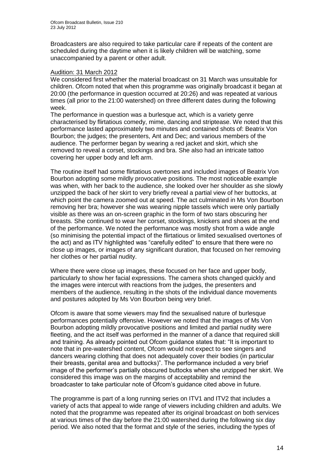Broadcasters are also required to take particular care if repeats of the content are scheduled during the daytime when it is likely children will be watching, some unaccompanied by a parent or other adult.

#### Audition: 31 March 2012

We considered first whether the material broadcast on 31 March was unsuitable for children. Ofcom noted that when this programme was originally broadcast it began at 20:00 (the performance in question occurred at 20:26) and was repeated at various times (all prior to the 21:00 watershed) on three different dates during the following week.

The performance in question was a burlesque act, which is a variety genre characterised by flirtatious comedy, mime, dancing and striptease. We noted that this performance lasted approximately two minutes and contained shots of: Beatrix Von Bourbon; the judges; the presenters, Ant and Dec; and various members of the audience. The performer began by wearing a red jacket and skirt, which she removed to reveal a corset, stockings and bra. She also had an intricate tattoo covering her upper body and left arm.

The routine itself had some flirtatious overtones and included images of Beatrix Von Bourbon adopting some mildly provocative positions. The most noticeable example was when, with her back to the audience, she looked over her shoulder as she slowly unzipped the back of her skirt to very briefly reveal a partial view of her buttocks, at which point the camera zoomed out at speed. The act culminated in Ms Von Bourbon removing her bra; however she was wearing nipple tassels which were only partially visible as there was an on-screen graphic in the form of two stars obscuring her breasts. She continued to wear her corset, stockings, knickers and shoes at the end of the performance. We noted the performance was mostly shot from a wide angle (so minimising the potential impact of the flirtatious or limited sexualised overtones of the act) and as ITV highlighted was "carefully edited" to ensure that there were no close up images, or images of any significant duration, that focused on her removing her clothes or her partial nudity.

Where there were close up images, these focused on her face and upper body, particularly to show her facial expressions. The camera shots changed quickly and the images were intercut with reactions from the judges, the presenters and members of the audience, resulting in the shots of the individual dance movements and postures adopted by Ms Von Bourbon being very brief.

Ofcom is aware that some viewers may find the sexualised nature of burlesque performances potentially offensive. However we noted that the images of Ms Von Bourbon adopting mildly provocative positions and limited and partial nudity were fleeting, and the act itself was performed in the manner of a dance that required skill and training. As already pointed out Ofcom guidance states that: "It is important to note that in pre-watershed content, Ofcom would not expect to see singers and dancers wearing clothing that does not adequately cover their bodies (in particular their breasts, genital area and buttocks)". The performance included a very brief image of the performer's partially obscured buttocks when she unzipped her skirt. We considered this image was on the margins of acceptability and remind the broadcaster to take particular note of Ofcom's guidance cited above in future.

The programme is part of a long running series on ITV1 and ITV2 that includes a variety of acts that appeal to wide range of viewers including children and adults. We noted that the programme was repeated after its original broadcast on both services at various times of the day before the 21:00 watershed during the following six day period. We also noted that the format and style of the series, including the types of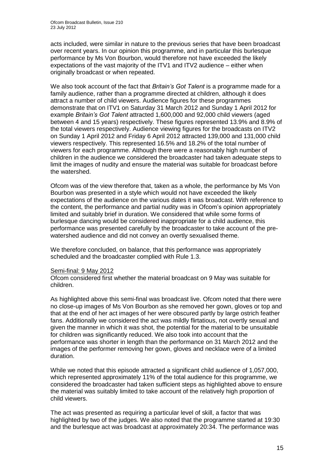acts included, were similar in nature to the previous series that have been broadcast over recent years. In our opinion this programme, and in particular this burlesque performance by Ms Von Bourbon, would therefore not have exceeded the likely expectations of the vast majority of the ITV1 and ITV2 audience – either when originally broadcast or when repeated.

We also took account of the fact that *Britain's Got Talent* is a programme made for a family audience, rather than a programme directed at children, although it does attract a number of child viewers. Audience figures for these programmes demonstrate that on ITV1 on Saturday 31 March 2012 and Sunday 1 April 2012 for example *Britain's Got Talent* attracted 1,600,000 and 92,000 child viewers (aged between 4 and 15 years) respectively. These figures represented 13.9% and 8.9% of the total viewers respectively. Audience viewing figures for the broadcasts on ITV2 on Sunday 1 April 2012 and Friday 6 April 2012 attracted 139,000 and 131,000 child viewers respectively. This represented 16.5% and 18.2% of the total number of viewers for each programme. Although there were a reasonably high number of children in the audience we considered the broadcaster had taken adequate steps to limit the images of nudity and ensure the material was suitable for broadcast before the watershed.

Ofcom was of the view therefore that, taken as a whole, the performance by Ms Von Bourbon was presented in a style which would not have exceeded the likely expectations of the audience on the various dates it was broadcast. With reference to the content, the performance and partial nudity was in Ofcom's opinion appropriately limited and suitably brief in duration. We considered that while some forms of burlesque dancing would be considered inappropriate for a child audience, this performance was presented carefully by the broadcaster to take account of the prewatershed audience and did not convey an overtly sexualised theme.

We therefore concluded, on balance, that this performance was appropriately scheduled and the broadcaster complied with Rule 1.3.

#### Semi-final: 9 May 2012

Ofcom considered first whether the material broadcast on 9 May was suitable for children.

As highlighted above this semi-final was broadcast live. Ofcom noted that there were no close-up images of Ms Von Bourbon as she removed her gown, gloves or top and that at the end of her act images of her were obscured partly by large ostrich feather fans. Additionally we considered the act was mildly flirtatious, not overtly sexual and given the manner in which it was shot, the potential for the material to be unsuitable for children was significantly reduced. We also took into account that the performance was shorter in length than the performance on 31 March 2012 and the images of the performer removing her gown, gloves and necklace were of a limited duration.

While we noted that this episode attracted a significant child audience of 1,057,000, which represented approximately 11% of the total audience for this programme, we considered the broadcaster had taken sufficient steps as highlighted above to ensure the material was suitably limited to take account of the relatively high proportion of child viewers.

The act was presented as requiring a particular level of skill, a factor that was highlighted by two of the judges. We also noted that the programme started at 19:30 and the burlesque act was broadcast at approximately 20:34. The performance was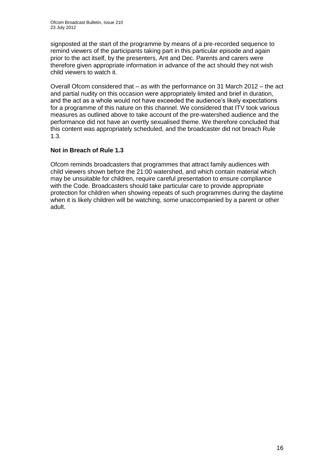signposted at the start of the programme by means of a pre-recorded sequence to remind viewers of the participants taking part in this particular episode and again prior to the act itself, by the presenters, Ant and Dec. Parents and carers were therefore given appropriate information in advance of the act should they not wish child viewers to watch it.

Overall Ofcom considered that – as with the performance on 31 March 2012 – the act and partial nudity on this occasion were appropriately limited and brief in duration, and the act as a whole would not have exceeded the audience's likely expectations for a programme of this nature on this channel. We considered that ITV took various measures as outlined above to take account of the pre-watershed audience and the performance did not have an overtly sexualised theme. We therefore concluded that this content was appropriately scheduled, and the broadcaster did not breach Rule 1.3.

#### **Not in Breach of Rule 1.3**

Ofcom reminds broadcasters that programmes that attract family audiences with child viewers shown before the 21:00 watershed, and which contain material which may be unsuitable for children, require careful presentation to ensure compliance with the Code. Broadcasters should take particular care to provide appropriate protection for children when showing repeats of such programmes during the daytime when it is likely children will be watching, some unaccompanied by a parent or other adult.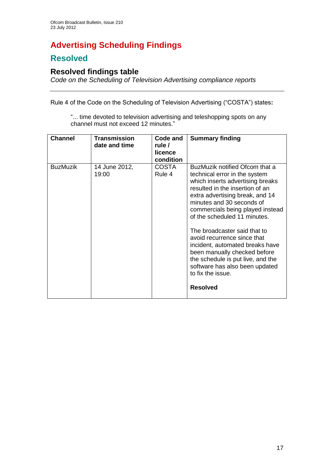# **Advertising Scheduling Findings**

## **Resolved**

## **Resolved findings table**

*Code on the Scheduling of Television Advertising compliance reports*

Rule 4 of the Code on the Scheduling of Television Advertising ("COSTA") states**:**

"... time devoted to television advertising and teleshopping spots on any channel must not exceed 12 minutes."

| licence<br>condition                                                                                                                                                                                                                                                                                                                                                                                                                                                                                                                                                                               |  |
|----------------------------------------------------------------------------------------------------------------------------------------------------------------------------------------------------------------------------------------------------------------------------------------------------------------------------------------------------------------------------------------------------------------------------------------------------------------------------------------------------------------------------------------------------------------------------------------------------|--|
| <b>BuzMuzik</b><br>BuzMuzik notified Ofcom that a<br><b>COSTA</b><br>14 June 2012,<br>Rule 4<br>19:00<br>technical error in the system<br>which inserts advertising breaks<br>resulted in the insertion of an<br>extra advertising break, and 14<br>minutes and 30 seconds of<br>commercials being played instead<br>of the scheduled 11 minutes.<br>The broadcaster said that to<br>avoid recurrence since that<br>incident, automated breaks have<br>been manually checked before<br>the schedule is put live, and the<br>software has also been updated<br>to fix the issue.<br><b>Resolved</b> |  |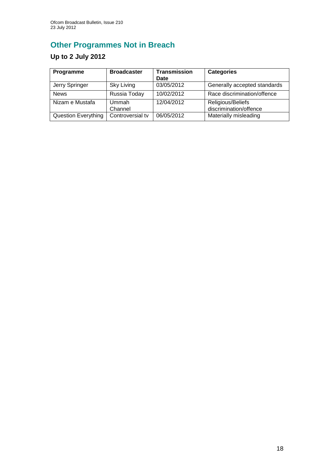# **Other Programmes Not in Breach**

# **Up to 2 July 2012**

| Programme                  | <b>Broadcaster</b> | <b>Transmission</b><br>Date | <b>Categories</b>                           |
|----------------------------|--------------------|-----------------------------|---------------------------------------------|
| Jerry Springer             | Sky Living         | 03/05/2012                  | Generally accepted standards                |
| <b>News</b>                | Russia Today       | 10/02/2012                  | Race discrimination/offence                 |
| Nizam e Mustafa            | Ummah<br>Channel   | 12/04/2012                  | Religious/Beliefs<br>discrimination/offence |
| <b>Question Everything</b> | Controversial tv   | 06/05/2012                  | Materially misleading                       |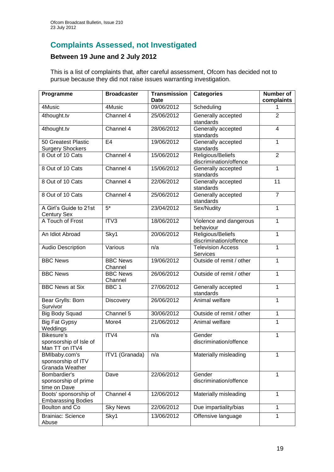## **Complaints Assessed, not Investigated**

#### **Between 19 June and 2 July 2012**

This is a list of complaints that, after careful assessment, Ofcom has decided not to pursue because they did not raise issues warranting investigation.

| Programme                                              | <b>Broadcaster</b>         | <b>Transmission</b><br><b>Date</b> | <b>Categories</b>                           | Number of<br>complaints |
|--------------------------------------------------------|----------------------------|------------------------------------|---------------------------------------------|-------------------------|
| 4Music                                                 | 4Music                     | 09/06/2012                         | Scheduling                                  | 1                       |
| 4thought.tv                                            | Channel 4                  | 25/06/2012                         | Generally accepted<br>standards             | $\overline{2}$          |
| 4thought.tv                                            | Channel 4                  | 28/06/2012                         | Generally accepted<br>standards             | 4                       |
| 50 Greatest Plastic<br><b>Surgery Shockers</b>         | E <sub>4</sub>             | 19/06/2012                         | Generally accepted<br>standards             | $\overline{1}$          |
| 8 Out of 10 Cats                                       | Channel 4                  | 15/06/2012                         | Religious/Beliefs<br>discrimination/offence | $\overline{2}$          |
| 8 Out of 10 Cats                                       | Channel 4                  | 15/06/2012                         | Generally accepted<br>standards             | 1                       |
| 8 Out of 10 Cats                                       | Channel 4                  | 22/06/2012                         | Generally accepted<br>standards             | 11                      |
| 8 Out of 10 Cats                                       | Channel 4                  | 25/06/2012                         | Generally accepted<br>standards             | $\overline{7}$          |
| A Girl's Guide to 21st<br><b>Century Sex</b>           | $5*$                       | 23/04/2012                         | Sex/Nudity                                  | 1                       |
| A Touch of Frost                                       | ITV3                       | 18/06/2012                         | Violence and dangerous<br>behaviour         | 1                       |
| An Idiot Abroad                                        | Sky1                       | 20/06/2012                         | Religious/Beliefs<br>discrimination/offence | 1                       |
| <b>Audio Description</b>                               | Various                    | n/a                                | Television Access<br><b>Services</b>        | 1                       |
| <b>BBC News</b>                                        | <b>BBC News</b><br>Channel | 19/06/2012                         | Outside of remit / other                    | 1                       |
| <b>BBC News</b>                                        | <b>BBC News</b><br>Channel | 26/06/2012                         | Outside of remit / other                    | 1                       |
| <b>BBC News at Six</b>                                 | BBC <sub>1</sub>           | 27/06/2012                         | Generally accepted<br>standards             | 1                       |
| Bear Grylls: Born<br>Survivor                          | <b>Discovery</b>           | 26/06/2012                         | Animal welfare                              | 1                       |
| <b>Big Body Squad</b>                                  | Channel 5                  | 30/06/2012                         | Outside of remit / other                    | 1                       |
| <b>Big Fat Gypsy</b><br>Weddings                       | More4                      | 21/06/2012                         | Animal welfare                              | 1                       |
| Bikesure's<br>sponsorship of Isle of<br>Man TT on ITV4 | ITV4                       | n/a                                | Gender<br>discrimination/offence            | 1                       |
| BMIbaby.com's<br>sponsorship of ITV<br>Granada Weather | ITV1 (Granada)             | n/a                                | Materially misleading                       | 1                       |
| Bombardier's<br>sponsorship of prime<br>time on Dave   | Dave                       | 22/06/2012                         | Gender<br>discrimination/offence            | 1                       |
| Boots' sponsorship of<br><b>Embarassing Bodies</b>     | Channel 4                  | 12/06/2012                         | Materially misleading                       | 1                       |
| Boulton and Co                                         | <b>Sky News</b>            | 22/06/2012                         | Due impartiality/bias                       | 1                       |
| <b>Brainiac: Science</b><br>Abuse                      | Sky1                       | 13/06/2012                         | Offensive language                          | 1                       |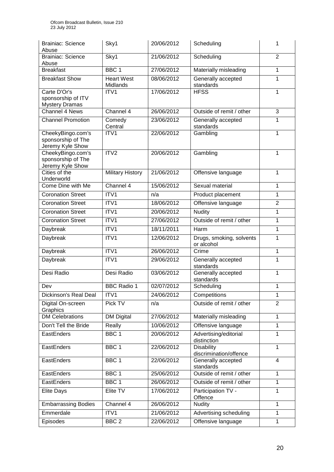| <b>Brainiac: Science</b><br>Abuse                           | Sky1                          | 20/06/2012 | Scheduling                                  | 1              |
|-------------------------------------------------------------|-------------------------------|------------|---------------------------------------------|----------------|
| <b>Brainiac: Science</b><br>Abuse                           | Sky1                          | 21/06/2012 | Scheduling                                  | $\overline{2}$ |
| <b>Breakfast</b>                                            | BBC <sub>1</sub>              | 27/06/2012 | Materially misleading                       | $\mathbf{1}$   |
| <b>Breakfast Show</b>                                       | <b>Heart West</b><br>Midlands | 08/06/2012 | Generally accepted<br>standards             | 1              |
| Carte D'Or's<br>sponsorship of ITV<br><b>Mystery Dramas</b> | ITV1                          | 17/06/2012 | <b>HFSS</b>                                 | $\mathbf{1}$   |
| <b>Channel 4 News</b>                                       | Channel 4                     | 26/06/2012 | Outside of remit / other                    | 3              |
| <b>Channel Promotion</b>                                    | Comedy<br>Central             | 23/06/2012 | Generally accepted<br>standards             | 1              |
| CheekyBingo.com's<br>sponsorship of The<br>Jeremy Kyle Show | ITV1                          | 22/06/2012 | Gambling                                    | 1              |
| CheekyBingo.com's<br>sponsorship of The<br>Jeremy Kyle Show | ITV2                          | 20/06/2012 | Gambling                                    | 1              |
| Cities of the<br>Underworld                                 | <b>Military History</b>       | 21/06/2012 | Offensive language                          | 1              |
| Come Dine with Me                                           | Channel 4                     | 15/06/2012 | Sexual material                             | 1              |
| <b>Coronation Street</b>                                    | ITV1                          | n/a        | Product placement                           | $\mathbf{1}$   |
| <b>Coronation Street</b>                                    | ITV1                          | 18/06/2012 | Offensive language                          | $\overline{2}$ |
| <b>Coronation Street</b>                                    | ITV1                          | 20/06/2012 | Nudity                                      | 1              |
| <b>Coronation Street</b>                                    | ITV1                          | 27/06/2012 | Outside of remit / other                    | $\mathbf{1}$   |
| Daybreak                                                    | ITV1                          | 18/11/2011 | Harm                                        | 1              |
| Daybreak                                                    | ITV1                          | 12/06/2012 | Drugs, smoking, solvents<br>or alcohol      | 1              |
| Daybreak                                                    | ITV1                          | 26/06/2012 | Crime                                       | $\mathbf{1}$   |
| Daybreak                                                    | ITV1                          | 29/06/2012 | Generally accepted<br>standards             | 1              |
| Desi Radio                                                  | Desi Radio                    | 03/06/2012 | Generally accepted<br>standards             | 1              |
| Dev                                                         | <b>BBC Radio 1</b>            | 02/07/2012 | Scheduling                                  | $\mathbf{1}$   |
| Dickinson's Real Deal                                       | ITV1                          | 24/06/2012 | Competitions                                | 1              |
| Digital On-screen<br>Graphics                               | Pick TV                       | n/a        | Outside of remit / other                    | $\overline{2}$ |
| <b>DM Celebrations</b>                                      | <b>DM Digital</b>             | 27/06/2012 | Materially misleading                       | 1              |
| Don't Tell the Bride                                        | Really                        | 10/06/2012 | Offensive language                          | $\mathbf{1}$   |
| EastEnders                                                  | BBC <sub>1</sub>              | 20/06/2012 | Advertising/editorial<br>distinction        | $\mathbf{1}$   |
| EastEnders                                                  | BBC <sub>1</sub>              | 22/06/2012 | <b>Disability</b><br>discrimination/offence | $\mathbf{1}$   |
| EastEnders                                                  | BBC <sub>1</sub>              | 22/06/2012 | Generally accepted<br>standards             | $\overline{4}$ |
| EastEnders                                                  | BBC <sub>1</sub>              | 25/06/2012 | Outside of remit / other                    | $\mathbf{1}$   |
| EastEnders                                                  | BBC <sub>1</sub>              | 26/06/2012 | Outside of remit / other                    | $\mathbf{1}$   |
| <b>Elite Days</b>                                           | Elite TV                      | 17/06/2012 | Participation TV -<br>Offence               | $\mathbf{1}$   |
| <b>Embarrassing Bodies</b>                                  | Channel 4                     | 26/06/2012 | <b>Nudity</b>                               | $\mathbf{1}$   |
| Emmerdale                                                   | ITV1                          | 21/06/2012 | Advertising scheduling                      | $\mathbf{1}$   |
| Episodes                                                    | BBC <sub>2</sub>              | 22/06/2012 | Offensive language                          | 1              |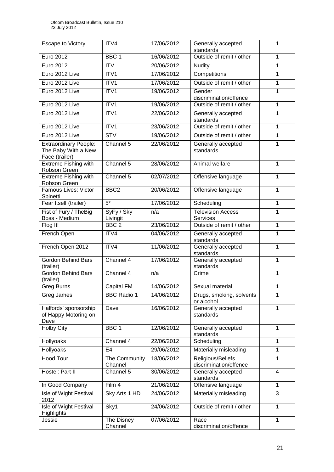| <b>Escape to Victory</b>                                              | ITV4                      | 17/06/2012 | Generally accepted<br>standards             | 1              |
|-----------------------------------------------------------------------|---------------------------|------------|---------------------------------------------|----------------|
| Euro 2012                                                             | BBC <sub>1</sub>          | 16/06/2012 | Outside of remit / other                    | 1              |
| <b>Euro 2012</b>                                                      | $\overline{\mathsf{ITV}}$ | 20/06/2012 | <b>Nudity</b>                               | 1              |
| Euro 2012 Live                                                        | ITV1                      | 17/06/2012 | Competitions                                | $\overline{1}$ |
| Euro 2012 Live                                                        | ITVI                      | 17/06/2012 | Outside of remit / other                    | 1              |
| Euro 2012 Live                                                        | ITV1                      | 19/06/2012 | Gender<br>discrimination/offence            | 1              |
| Euro 2012 Live                                                        | ITV1                      | 19/06/2012 | Outside of remit / other                    | 1              |
| Euro 2012 Live                                                        | ITV1                      | 22/06/2012 | Generally accepted<br>standards             | 1              |
| Euro 2012 Live                                                        | ITV1                      | 23/06/2012 | Outside of remit / other                    | 1              |
| Euro 2012 Live                                                        | <b>STV</b>                | 19/06/2012 | Outside of remit / other                    | 1              |
| <b>Extraordinary People:</b><br>The Baby With a New<br>Face (trailer) | Channel 5                 | 22/06/2012 | Generally accepted<br>standards             | 1              |
| <b>Extreme Fishing with</b><br>Robson Green                           | Channel 5                 | 28/06/2012 | Animal welfare                              | 1              |
| <b>Extreme Fishing with</b><br>Robson Green                           | Channel 5                 | 02/07/2012 | Offensive language                          | 1              |
| Famous Lives: Victor<br>Spinetti                                      | BBC <sub>2</sub>          | 20/06/2012 | Offensive language                          | 1              |
| Fear Itself (trailer)                                                 | $5*$                      | 17/06/2012 | Scheduling                                  | 1              |
| Fist of Fury / TheBig<br>Boss - Medium                                | SyFy / Sky<br>Livingit    | n/a        | <b>Television Access</b><br><b>Services</b> | 1              |
| Flog It!                                                              | BBC <sub>2</sub>          | 23/06/2012 | Outside of remit / other                    | $\mathbf{1}$   |
| French Open                                                           | ITV4                      | 04/06/2012 | Generally accepted<br>standards             | 1              |
| French Open 2012                                                      | ITV4                      | 11/06/2012 | Generally accepted<br>standards             | $\mathbf 1$    |
| <b>Gordon Behind Bars</b><br>(trailer)                                | Channel 4                 | 17/06/2012 | Generally accepted<br>standards             | $\overline{1}$ |
| <b>Gordon Behind Bars</b><br>(trailer)                                | Channel 4                 | n/a        | Crime                                       | 1              |
| Greg Burns                                                            | Capital FM                | 14/06/2012 | Sexual material                             | $\mathbf{1}$   |
| Greg James                                                            | <b>BBC Radio 1</b>        | 14/06/2012 | Drugs, smoking, solvents<br>or alcohol      | 1              |
| Halfords' sponsorship<br>of Happy Motoring on<br>Dave                 | Dave                      | 16/06/2012 | Generally accepted<br>standards             | 1              |
| Holby City                                                            | BBC <sub>1</sub>          | 12/06/2012 | Generally accepted<br>standards             | 1              |
| Hollyoaks                                                             | Channel 4                 | 22/06/2012 | Scheduling                                  | 1              |
| Hollyoaks                                                             | E <sub>4</sub>            | 29/06/2012 | Materially misleading                       | 1              |
| <b>Hood Tour</b>                                                      | The Community<br>Channel  | 18/06/2012 | Religious/Beliefs<br>discrimination/offence | 1              |
| Hostel: Part II                                                       | Channel 5                 | 30/06/2012 | Generally accepted<br>standards             | $\overline{4}$ |
| In Good Company                                                       | Film 4                    | 21/06/2012 | Offensive language                          | 1              |
| Isle of Wight Festival<br>2012                                        | Sky Arts 1 HD             | 24/06/2012 | Materially misleading                       | 3              |
| Isle of Wight Festival<br>Highlights                                  | Sky1                      | 24/06/2012 | Outside of remit / other                    | 1              |
| Jessie                                                                | The Disney<br>Channel     | 07/06/2012 | Race<br>discrimination/offence              | 1              |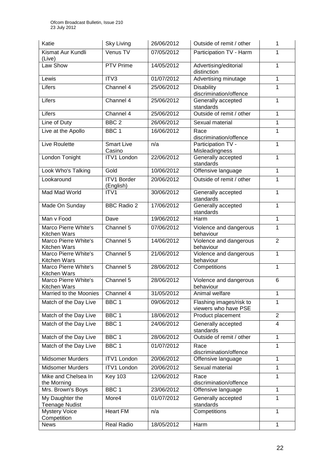| Katie                                    | <b>Sky Living</b>               | 26/06/2012 | Outside of remit / other                        | 1              |
|------------------------------------------|---------------------------------|------------|-------------------------------------------------|----------------|
| Kismat Aur Kundli<br>(Live)              | Venus TV                        | 07/05/2012 | Participation TV - Harm                         | 1              |
| Law Show                                 | <b>PTV Prime</b>                | 14/05/2012 | Advertising/editorial<br>distinction            | 1              |
| Lewis                                    | ITV3                            | 01/07/2012 | Advertising minutage                            | 1              |
| Lifers                                   | Channel 4                       | 25/06/2012 | <b>Disability</b><br>discrimination/offence     | $\mathbf 1$    |
| Lifers                                   | Channel 4                       | 25/06/2012 | Generally accepted<br>standards                 | 1              |
| Lifers                                   | Channel 4                       | 25/06/2012 | Outside of remit / other                        | 1              |
| Line of Duty                             | BBC <sub>2</sub>                | 26/06/2012 | Sexual material                                 | 1              |
| Live at the Apollo                       | BBC <sub>1</sub>                | 16/06/2012 | Race<br>discrimination/offence                  | 1              |
| Live Roulette                            | <b>Smart Live</b><br>Casino     | n/a        | Participation TV -<br>Misleadingness            | 1              |
| London Tonight                           | <b>ITV1 London</b>              | 22/06/2012 | Generally accepted<br>standards                 | 1              |
| Look Who's Talking                       | Gold                            | 10/06/2012 | Offensive language                              | 1              |
| Lookaround                               | <b>ITV1 Border</b><br>(English) | 20/06/2012 | Outside of remit / other                        | 1              |
| Mad Mad World                            | ITV <sub>1</sub>                | 30/06/2012 | Generally accepted<br>standards                 | $\overline{1}$ |
| Made On Sunday                           | <b>BBC Radio 2</b>              | 17/06/2012 | Generally accepted<br>standards                 | 1              |
| Man v Food                               | Dave                            | 19/06/2012 | Harm                                            | 1              |
| Marco Pierre White's<br>Kitchen Wars     | Channel 5                       | 07/06/2012 | Violence and dangerous<br>behaviour             | 1              |
| Marco Pierre White's<br>Kitchen Wars     | Channel 5                       | 14/06/2012 | Violence and dangerous<br>behaviour             | $\overline{2}$ |
| Marco Pierre White's<br>Kitchen Wars     | Channel 5                       | 21/06/2012 | Violence and dangerous<br>behaviour             | $\mathbf{1}$   |
| Marco Pierre White's<br>Kitchen Wars     | Channel 5                       | 28/06/2012 | Competitions                                    | $\mathbf 1$    |
| Marco Pierre White's<br>Kitchen Wars     | Channel 5                       | 28/06/2012 | Violence and dangerous<br>behaviour             | 6              |
| Married to the Moonies                   | Channel 4                       | 31/05/2012 | Animal welfare                                  | 1              |
| Match of the Day Live                    | BBC <sub>1</sub>                | 09/06/2012 | Flashing images/risk to<br>viewers who have PSE | 1              |
| Match of the Day Live                    | BBC <sub>1</sub>                | 18/06/2012 | Product placement                               | $\overline{2}$ |
| Match of the Day Live                    | BBC <sub>1</sub>                | 24/06/2012 | Generally accepted<br>standards                 | $\overline{4}$ |
| Match of the Day Live                    | BBC <sub>1</sub>                | 28/06/2012 | Outside of remit / other                        | 1              |
| Match of the Day Live                    | BBC <sub>1</sub>                | 01/07/2012 | Race<br>discrimination/offence                  | 1              |
| <b>Midsomer Murders</b>                  | <b>ITV1 London</b>              | 20/06/2012 | Offensive language                              | 1              |
| <b>Midsomer Murders</b>                  | ITV1 London                     | 20/06/2012 | Sexual material                                 | 1              |
| Mike and Chelsea In<br>the Morning       | <b>Key 103</b>                  | 12/06/2012 | Race<br>discrimination/offence                  | 1              |
| Mrs. Brown's Boys                        | BBC <sub>1</sub>                | 23/06/2012 | Offensive language                              | 1              |
| My Daughter the<br><b>Teenage Nudist</b> | More4                           | 01/07/2012 | Generally accepted<br>standards                 | 1              |
| <b>Mystery Voice</b>                     | <b>Heart FM</b>                 | n/a        | Competitions                                    | 1              |
| Competition<br><b>News</b>               | Real Radio                      | 18/05/2012 | Harm                                            | 1              |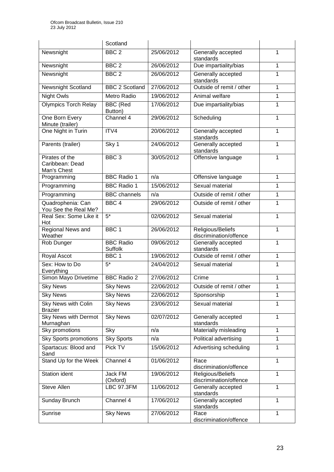|                                                  | Scotland                    |            |                                             |                |
|--------------------------------------------------|-----------------------------|------------|---------------------------------------------|----------------|
| Newsnight                                        | BBC <sub>2</sub>            | 25/06/2012 | Generally accepted<br>standards             | 1              |
| Newsnight                                        | BBC <sub>2</sub>            | 26/06/2012 | Due impartiality/bias                       | 1              |
| Newsnight                                        | BBC <sub>2</sub>            | 26/06/2012 | Generally accepted<br>standards             | 1              |
| Newsnight Scotland                               | <b>BBC 2 Scotland</b>       | 27/06/2012 | Outside of remit / other                    | $\mathbf{1}$   |
| Night Owls                                       | <b>Metro Radio</b>          | 19/06/2012 | Animal welfare                              | 1              |
| <b>Olympics Torch Relay</b>                      | <b>BBC</b> (Red<br>Button)  | 17/06/2012 | Due impartiality/bias                       | $\mathbf{1}$   |
| One Born Every<br>Minute (trailer)               | Channel 4                   | 29/06/2012 | Scheduling                                  | 1              |
| One Night in Turin                               | ITV4                        | 20/06/2012 | Generally accepted<br>standards             | 1              |
| Parents (trailer)                                | Sky 1                       | 24/06/2012 | Generally accepted<br>standards             | 1              |
| Pirates of the<br>Caribbean: Dead<br>Man's Chest | BBC <sub>3</sub>            | 30/05/2012 | Offensive language                          | 1              |
| Programming                                      | <b>BBC Radio 1</b>          | n/a        | Offensive language                          | 1              |
| Programming                                      | <b>BBC Radio 1</b>          | 15/06/2012 | Sexual material                             | 1              |
| Programming                                      | <b>BBC</b> channels         | n/a        | Outside of remit / other                    | 1              |
| Quadrophenia: Can<br>You See the Real Me?        | BBC <sub>4</sub>            | 29/06/2012 | Outside of remit / other                    | 1              |
| Real Sex: Some Like it<br>Hot                    | $5*$                        | 02/06/2012 | Sexual material                             | 1              |
| <b>Regional News and</b><br>Weather              | BBC <sub>1</sub>            | 26/06/2012 | Religious/Beliefs<br>discrimination/offence | $\mathbf{1}$   |
| Rob Dunger                                       | <b>BBC Radio</b><br>Suffolk | 09/06/2012 | Generally accepted<br>standards             | $\mathbf{1}$   |
| Royal Ascot                                      | BBC <sub>1</sub>            | 19/06/2012 | Outside of remit / other                    | $\mathbf{1}$   |
| Sex: How to Do<br>Everything                     | $5*$                        | 24/04/2012 | Sexual material                             | 1              |
| Simon Mayo Drivetime                             | <b>BBC Radio 2</b>          | 27/06/2012 | Crime                                       | 1              |
| <b>Sky News</b>                                  | <b>Sky News</b>             | 22/06/2012 | Outside of remit / other                    | 1              |
| <b>Sky News</b>                                  | <b>Sky News</b>             | 22/06/2012 | Sponsorship                                 | 1              |
| Sky News with Colin<br><b>Brazier</b>            | <b>Sky News</b>             | 23/06/2012 | Sexual material                             | 1              |
| Sky News with Dermot<br>Murnaghan                | <b>Sky News</b>             | 02/07/2012 | Generally accepted<br>standards             | $\mathbf{1}$   |
| Sky promotions                                   | Sky                         | n/a        | Materially misleading                       | 1              |
| <b>Sky Sports promotions</b>                     | <b>Sky Sports</b>           | n/a        | Political advertising                       | $\mathbf{1}$   |
| Spartacus: Blood and<br>Sand                     | Pick TV                     | 15/06/2012 | Advertising scheduling                      | $\mathbf{1}$   |
| Stand Up for the Week                            | Channel 4                   | 01/06/2012 | Race<br>discrimination/offence              | $\overline{1}$ |
| Station ident                                    | Jack FM<br>(Oxford)         | 19/06/2012 | Religious/Beliefs<br>discrimination/offence | $\mathbf{1}$   |
| Steve Allen                                      | <b>LBC 97.3FM</b>           | 11/06/2012 | Generally accepted<br>standards             | $\mathbf{1}$   |
| Sunday Brunch                                    | Channel 4                   | 17/06/2012 | Generally accepted<br>standards             | $\mathbf{1}$   |
| Sunrise                                          | <b>Sky News</b>             | 27/06/2012 | Race<br>discrimination/offence              | $\mathbf{1}$   |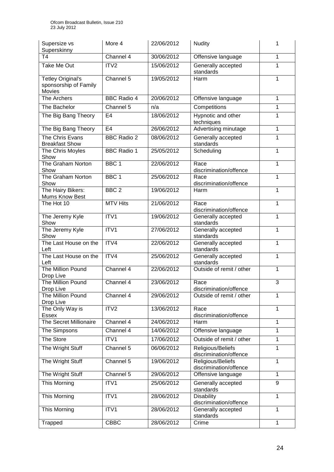| Supersize vs<br>Superskinny                                        | More 4             | 22/06/2012 | <b>Nudity</b>                               | 1              |
|--------------------------------------------------------------------|--------------------|------------|---------------------------------------------|----------------|
| T4                                                                 | Channel 4          | 30/06/2012 | Offensive language                          | $\mathbf{1}$   |
| Take Me Out                                                        | ITV2               | 15/06/2012 | Generally accepted<br>standards             | 1              |
| <b>Tetley Original's</b><br>sponsorship of Family<br><b>Movies</b> | Channel 5          | 19/05/2012 | Harm                                        | 1              |
| The Archers                                                        | <b>BBC Radio 4</b> | 20/06/2012 | Offensive language                          | 1              |
| The Bachelor                                                       | Channel 5          | n/a        | Competitions                                | $\overline{1}$ |
| The Big Bang Theory                                                | E <sub>4</sub>     | 18/06/2012 | Hypnotic and other<br>techniques            | 1              |
| The Big Bang Theory                                                | E4                 | 26/06/2012 | Advertising minutage                        | $\mathbf{1}$   |
| The Chris Evans<br><b>Breakfast Show</b>                           | <b>BBC Radio 2</b> | 08/06/2012 | Generally accepted<br>standards             | $\mathbf{1}$   |
| The Chris Moyles<br>Show                                           | <b>BBC Radio 1</b> | 25/05/2012 | Scheduling                                  | $\mathbf{1}$   |
| The Graham Norton<br>Show                                          | BBC <sub>1</sub>   | 22/06/2012 | Race<br>discrimination/offence              | 1              |
| The Graham Norton<br>Show                                          | BBC <sub>1</sub>   | 25/06/2012 | Race<br>discrimination/offence              | 1              |
| The Hairy Bikers:<br>Mums Know Best                                | BBC <sub>2</sub>   | 19/06/2012 | Harm                                        | 1              |
| The Hot 10                                                         | <b>MTV Hits</b>    | 21/06/2012 | Race<br>discrimination/offence              | 1              |
| The Jeremy Kyle<br>Show                                            | ITV1               | 19/06/2012 | Generally accepted<br>standards             | 1              |
| The Jeremy Kyle<br>Show                                            | ITV1               | 27/06/2012 | Generally accepted<br>standards             | 1              |
| The Last House on the<br>Left                                      | ITV4               | 22/06/2012 | Generally accepted<br>standards             | 1              |
| The Last House on the<br>Left                                      | ITV4               | 25/06/2012 | Generally accepted<br>standards             | 1              |
| The Million Pound<br>Drop Live                                     | Channel 4          | 22/06/2012 | Outside of remit / other                    | $\mathbf{1}$   |
| The Million Pound<br>Drop Live                                     | Channel 4          | 23/06/2012 | Race<br>discrimination/offence              | 3              |
| The Million Pound<br>Drop Live                                     | Channel 4          | 29/06/2012 | Outside of remit / other                    | 1              |
| The Only Way is<br>Essex                                           | ITV <sub>2</sub>   | 13/06/2012 | Race<br>discrimination/offence              | $\mathbf{1}$   |
| The Secret Millionaire                                             | Channel 4          | 24/06/2012 | Harm                                        | $\mathbf{1}$   |
| The Simpsons                                                       | Channel 4          | 14/06/2012 | Offensive language                          | 1              |
| The Store                                                          | ITV1               | 17/06/2012 | Outside of remit / other                    | 1              |
| The Wright Stuff                                                   | Channel 5          | 06/06/2012 | Religious/Beliefs<br>discrimination/offence | 1              |
| The Wright Stuff                                                   | Channel 5          | 19/06/2012 | Religious/Beliefs<br>discrimination/offence | 1              |
| The Wright Stuff                                                   | Channel 5          | 29/06/2012 | Offensive language                          | 1              |
| This Morning                                                       | ITV1               | 25/06/2012 | Generally accepted<br>standards             | 9              |
| This Morning                                                       | ITV1               | 28/06/2012 | <b>Disability</b><br>discrimination/offence | 1              |
| This Morning                                                       | ITV1               | 28/06/2012 | Generally accepted<br>standards             | 1              |
| Trapped                                                            | <b>CBBC</b>        | 28/06/2012 | Crime                                       | 1              |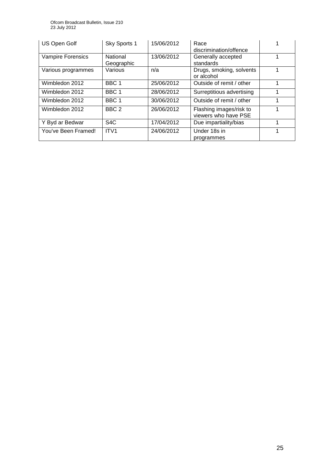| US Open Golf             | Sky Sports 1           | 15/06/2012 | Race<br>discrimination/offence                  |   |
|--------------------------|------------------------|------------|-------------------------------------------------|---|
| <b>Vampire Forensics</b> | National<br>Geographic | 13/06/2012 | Generally accepted<br>standards                 |   |
| Various programmes       | Various                | n/a        | Drugs, smoking, solvents<br>or alcohol          |   |
| Wimbledon 2012           | BBC 1                  | 25/06/2012 | Outside of remit / other                        |   |
| Wimbledon 2012           | BBC <sub>1</sub>       | 28/06/2012 | Surreptitious advertising                       |   |
| Wimbledon 2012           | BBC 1                  | 30/06/2012 | Outside of remit / other                        |   |
| Wimbledon 2012           | BBC <sub>2</sub>       | 26/06/2012 | Flashing images/risk to<br>viewers who have PSE | 1 |
| Y Byd ar Bedwar          | S <sub>4</sub> C       | 17/04/2012 | Due impartiality/bias                           |   |
| You've Been Framed!      | ITV1                   | 24/06/2012 | Under 18s in<br>programmes                      |   |